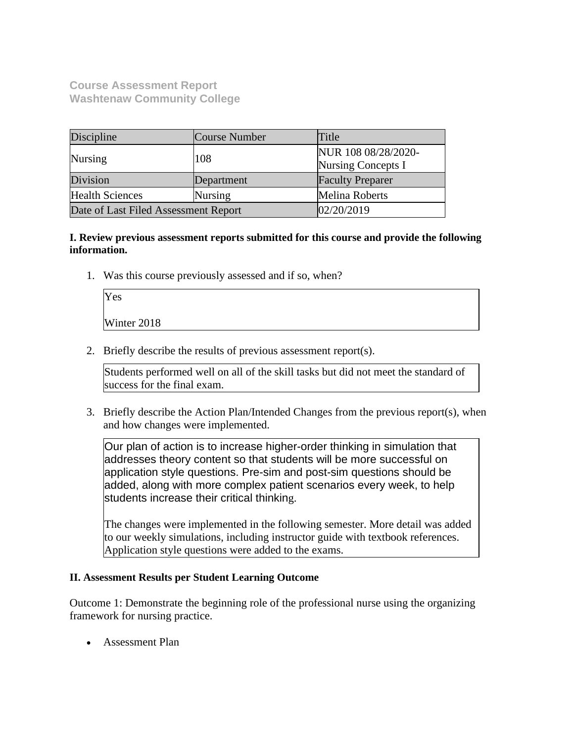**Course Assessment Report Washtenaw Community College**

| Discipline                           | Course Number | Title                                            |
|--------------------------------------|---------------|--------------------------------------------------|
| <b>Nursing</b>                       | 108           | NUR 108 08/28/2020-<br><b>Nursing Concepts I</b> |
| Division                             | Department    | <b>Faculty Preparer</b>                          |
| <b>Health Sciences</b><br>Nursing    |               | Melina Roberts                                   |
| Date of Last Filed Assessment Report |               | 02/20/2019                                       |

**I. Review previous assessment reports submitted for this course and provide the following information.**

1. Was this course previously assessed and if so, when?

| Yes         |  |  |  |
|-------------|--|--|--|
| Winter 2018 |  |  |  |

2. Briefly describe the results of previous assessment report(s).

Students performed well on all of the skill tasks but did not meet the standard of success for the final exam.

3. Briefly describe the Action Plan/Intended Changes from the previous report(s), when and how changes were implemented.

Our plan of action is to increase higher-order thinking in simulation that addresses theory content so that students will be more successful on application style questions. Pre-sim and post-sim questions should be added, along with more complex patient scenarios every week, to help students increase their critical thinking.

The changes were implemented in the following semester. More detail was added to our weekly simulations, including instructor guide with textbook references. Application style questions were added to the exams.

### **II. Assessment Results per Student Learning Outcome**

Outcome 1: Demonstrate the beginning role of the professional nurse using the organizing framework for nursing practice.

• Assessment Plan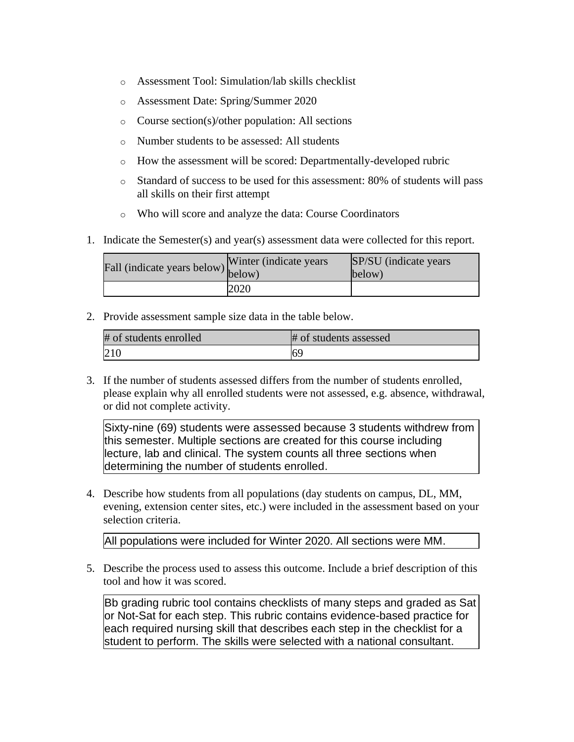- o Assessment Tool: Simulation/lab skills checklist
- o Assessment Date: Spring/Summer 2020
- o Course section(s)/other population: All sections
- o Number students to be assessed: All students
- o How the assessment will be scored: Departmentally-developed rubric
- o Standard of success to be used for this assessment: 80% of students will pass all skills on their first attempt
- o Who will score and analyze the data: Course Coordinators
- 1. Indicate the Semester(s) and year(s) assessment data were collected for this report.

| Fall (indicate years below) v mea (manufacture) | Winter (indicate years) | SP/SU (indicate years)<br>below) |
|-------------------------------------------------|-------------------------|----------------------------------|
|                                                 | 2020                    |                                  |

| # of students enrolled | # of students assessed |
|------------------------|------------------------|
|                        | 169                    |

3. If the number of students assessed differs from the number of students enrolled, please explain why all enrolled students were not assessed, e.g. absence, withdrawal, or did not complete activity.

Sixty-nine (69) students were assessed because 3 students withdrew from this semester. Multiple sections are created for this course including lecture, lab and clinical. The system counts all three sections when determining the number of students enrolled.

4. Describe how students from all populations (day students on campus, DL, MM, evening, extension center sites, etc.) were included in the assessment based on your selection criteria.

All populations were included for Winter 2020. All sections were MM.

5. Describe the process used to assess this outcome. Include a brief description of this tool and how it was scored.

Bb grading rubric tool contains checklists of many steps and graded as Sat or Not-Sat for each step. This rubric contains evidence-based practice for each required nursing skill that describes each step in the checklist for a student to perform. The skills were selected with a national consultant.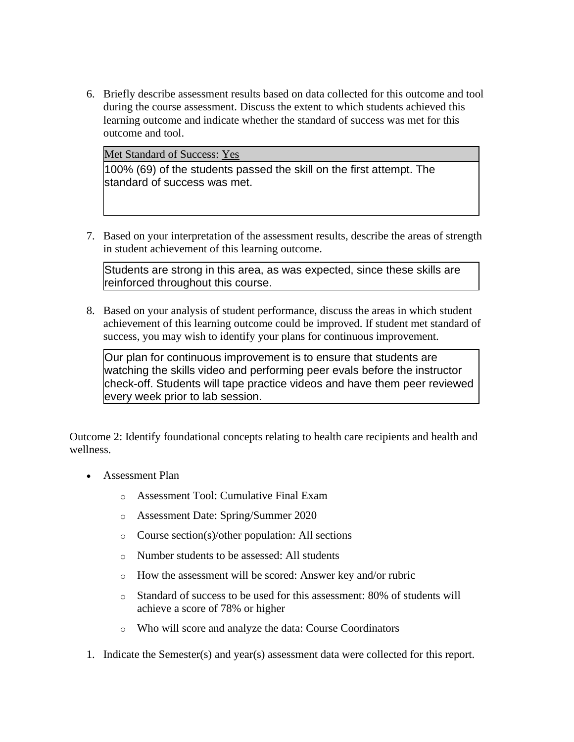6. Briefly describe assessment results based on data collected for this outcome and tool during the course assessment. Discuss the extent to which students achieved this learning outcome and indicate whether the standard of success was met for this outcome and tool.

Met Standard of Success: Yes

100% (69) of the students passed the skill on the first attempt. The standard of success was met.

7. Based on your interpretation of the assessment results, describe the areas of strength in student achievement of this learning outcome.

Students are strong in this area, as was expected, since these skills are reinforced throughout this course.

8. Based on your analysis of student performance, discuss the areas in which student achievement of this learning outcome could be improved. If student met standard of success, you may wish to identify your plans for continuous improvement.

Our plan for continuous improvement is to ensure that students are watching the skills video and performing peer evals before the instructor check-off. Students will tape practice videos and have them peer reviewed every week prior to lab session.

Outcome 2: Identify foundational concepts relating to health care recipients and health and wellness.

- Assessment Plan
	- o Assessment Tool: Cumulative Final Exam
	- o Assessment Date: Spring/Summer 2020
	- o Course section(s)/other population: All sections
	- o Number students to be assessed: All students
	- o How the assessment will be scored: Answer key and/or rubric
	- o Standard of success to be used for this assessment: 80% of students will achieve a score of 78% or higher
	- o Who will score and analyze the data: Course Coordinators
- 1. Indicate the Semester(s) and year(s) assessment data were collected for this report.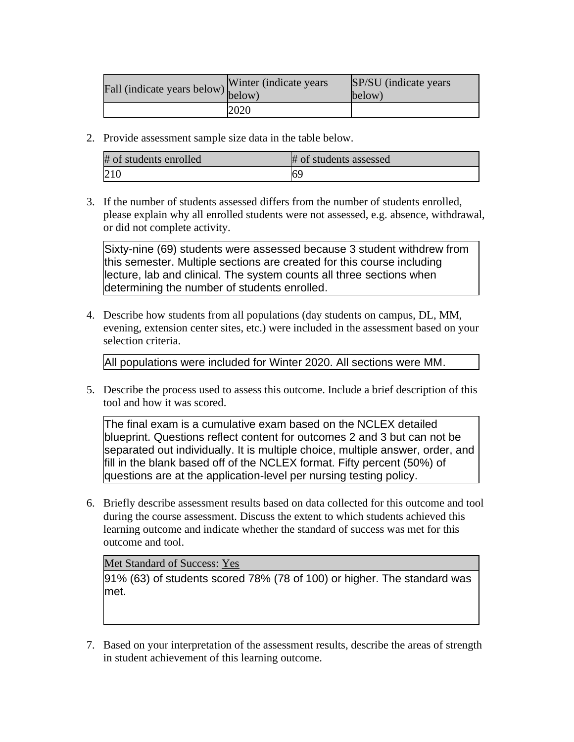| Fall (indicate years below) below) | Winter (indicate years) | SP/SU (indicate years)<br>below) |
|------------------------------------|-------------------------|----------------------------------|
|                                    | 2020                    |                                  |

| # of students enrolled | # of students assessed |
|------------------------|------------------------|
| 210                    |                        |

3. If the number of students assessed differs from the number of students enrolled, please explain why all enrolled students were not assessed, e.g. absence, withdrawal, or did not complete activity.

Sixty-nine (69) students were assessed because 3 student withdrew from this semester. Multiple sections are created for this course including lecture, lab and clinical. The system counts all three sections when determining the number of students enrolled.

4. Describe how students from all populations (day students on campus, DL, MM, evening, extension center sites, etc.) were included in the assessment based on your selection criteria.

All populations were included for Winter 2020. All sections were MM.

5. Describe the process used to assess this outcome. Include a brief description of this tool and how it was scored.

The final exam is a cumulative exam based on the NCLEX detailed blueprint. Questions reflect content for outcomes 2 and 3 but can not be separated out individually. It is multiple choice, multiple answer, order, and fill in the blank based off of the NCLEX format. Fifty percent (50%) of questions are at the application-level per nursing testing policy.

6. Briefly describe assessment results based on data collected for this outcome and tool during the course assessment. Discuss the extent to which students achieved this learning outcome and indicate whether the standard of success was met for this outcome and tool.

### Met Standard of Success: Yes

91% (63) of students scored 78% (78 of 100) or higher. The standard was met.

7. Based on your interpretation of the assessment results, describe the areas of strength in student achievement of this learning outcome.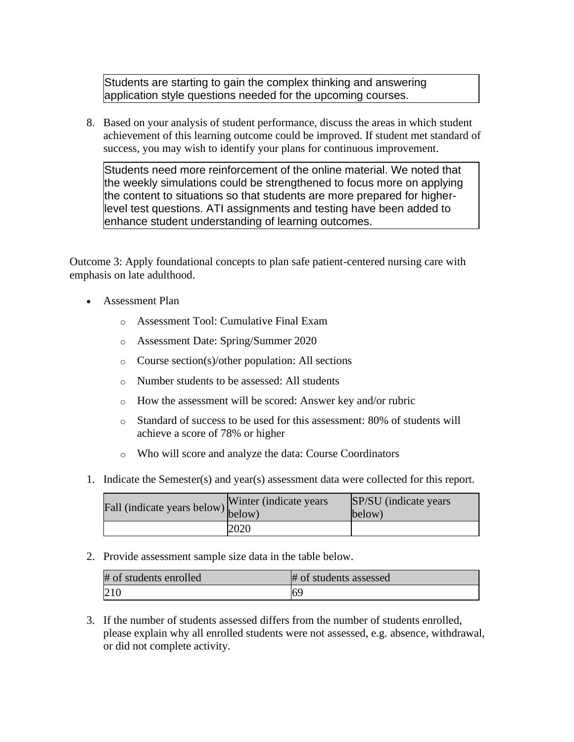Students are starting to gain the complex thinking and answering application style questions needed for the upcoming courses.

8. Based on your analysis of student performance, discuss the areas in which student achievement of this learning outcome could be improved. If student met standard of success, you may wish to identify your plans for continuous improvement.

Students need more reinforcement of the online material. We noted that the weekly simulations could be strengthened to focus more on applying the content to situations so that students are more prepared for higherlevel test questions. ATI assignments and testing have been added to enhance student understanding of learning outcomes.

Outcome 3: Apply foundational concepts to plan safe patient-centered nursing care with emphasis on late adulthood.

- Assessment Plan
	- o Assessment Tool: Cumulative Final Exam
	- o Assessment Date: Spring/Summer 2020
	- o Course section(s)/other population: All sections
	- o Number students to be assessed: All students
	- o How the assessment will be scored: Answer key and/or rubric
	- o Standard of success to be used for this assessment: 80% of students will achieve a score of 78% or higher
	- o Who will score and analyze the data: Course Coordinators
- 1. Indicate the Semester(s) and year(s) assessment data were collected for this report.

| Fall (indicate years below) below) | Winter (indicate years) | SP/SU (indicate years)<br>below) |
|------------------------------------|-------------------------|----------------------------------|
|                                    | 2020                    |                                  |

2. Provide assessment sample size data in the table below.

| # of students enrolled | # of students assessed |
|------------------------|------------------------|
| 210                    | 169                    |

3. If the number of students assessed differs from the number of students enrolled, please explain why all enrolled students were not assessed, e.g. absence, withdrawal, or did not complete activity.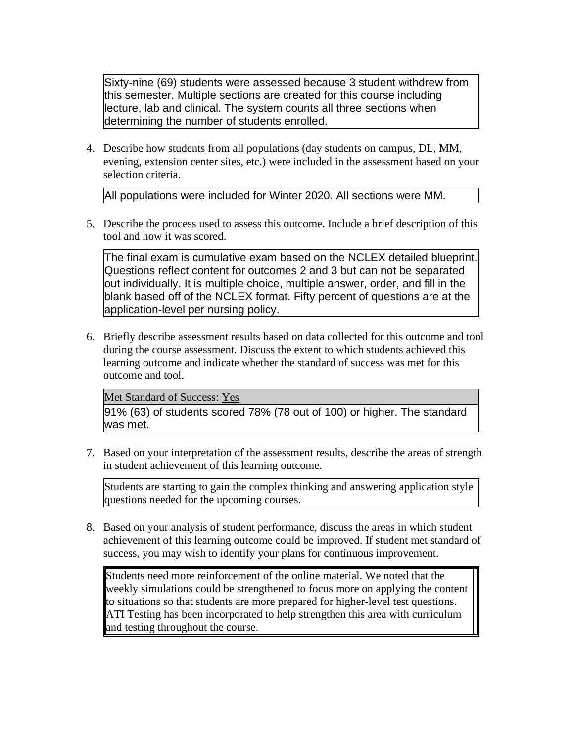Sixty-nine (69) students were assessed because 3 student withdrew from this semester. Multiple sections are created for this course including lecture, lab and clinical. The system counts all three sections when determining the number of students enrolled.

4. Describe how students from all populations (day students on campus, DL, MM, evening, extension center sites, etc.) were included in the assessment based on your selection criteria.

All populations were included for Winter 2020. All sections were MM.

5. Describe the process used to assess this outcome. Include a brief description of this tool and how it was scored.

The final exam is cumulative exam based on the NCLEX detailed blueprint. Questions reflect content for outcomes 2 and 3 but can not be separated out individually. It is multiple choice, multiple answer, order, and fill in the blank based off of the NCLEX format. Fifty percent of questions are at the application-level per nursing policy.

6. Briefly describe assessment results based on data collected for this outcome and tool during the course assessment. Discuss the extent to which students achieved this learning outcome and indicate whether the standard of success was met for this outcome and tool.

Met Standard of Success: Yes

91% (63) of students scored 78% (78 out of 100) or higher. The standard was met.

7. Based on your interpretation of the assessment results, describe the areas of strength in student achievement of this learning outcome.

Students are starting to gain the complex thinking and answering application style questions needed for the upcoming courses.

8. Based on your analysis of student performance, discuss the areas in which student achievement of this learning outcome could be improved. If student met standard of success, you may wish to identify your plans for continuous improvement.

Students need more reinforcement of the online material. We noted that the weekly simulations could be strengthened to focus more on applying the content to situations so that students are more prepared for higher-level test questions. ATI Testing has been incorporated to help strengthen this area with curriculum and testing throughout the course.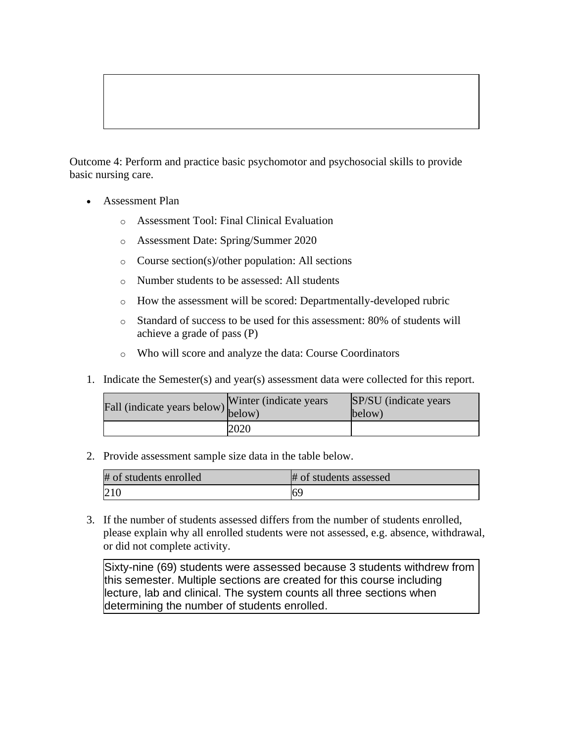Outcome 4: Perform and practice basic psychomotor and psychosocial skills to provide basic nursing care.

- Assessment Plan
	- o Assessment Tool: Final Clinical Evaluation
	- o Assessment Date: Spring/Summer 2020
	- o Course section(s)/other population: All sections
	- o Number students to be assessed: All students
	- o How the assessment will be scored: Departmentally-developed rubric
	- o Standard of success to be used for this assessment: 80% of students will achieve a grade of pass (P)
	- o Who will score and analyze the data: Course Coordinators
- 1. Indicate the Semester(s) and year(s) assessment data were collected for this report.

| Fall (indicate years below) below) | Winter (indicate years) | <b>SP/SU</b> (indicate years)<br>below) |
|------------------------------------|-------------------------|-----------------------------------------|
|                                    | 2020                    |                                         |

2. Provide assessment sample size data in the table below.

| # of students enrolled | # of students assessed |
|------------------------|------------------------|
|                        | 69                     |

3. If the number of students assessed differs from the number of students enrolled, please explain why all enrolled students were not assessed, e.g. absence, withdrawal, or did not complete activity.

Sixty-nine (69) students were assessed because 3 students withdrew from this semester. Multiple sections are created for this course including lecture, lab and clinical. The system counts all three sections when determining the number of students enrolled.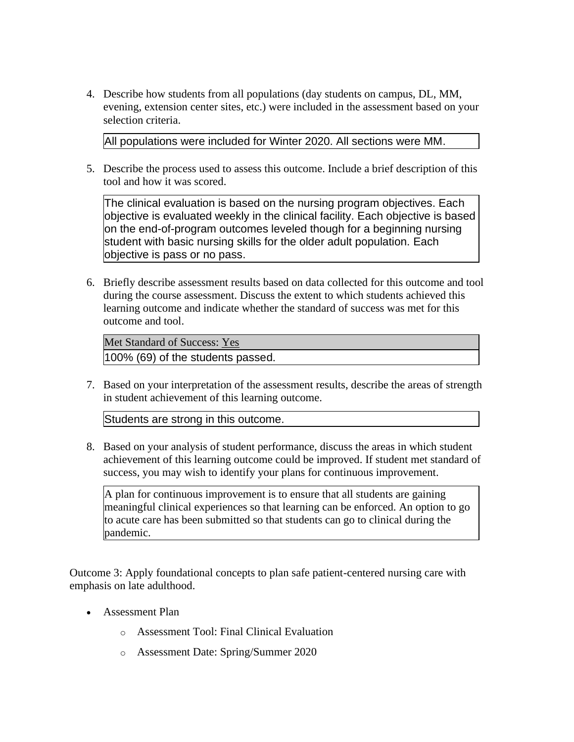4. Describe how students from all populations (day students on campus, DL, MM, evening, extension center sites, etc.) were included in the assessment based on your selection criteria.

All populations were included for Winter 2020. All sections were MM.

5. Describe the process used to assess this outcome. Include a brief description of this tool and how it was scored.

The clinical evaluation is based on the nursing program objectives. Each objective is evaluated weekly in the clinical facility. Each objective is based on the end-of-program outcomes leveled though for a beginning nursing student with basic nursing skills for the older adult population. Each objective is pass or no pass.

6. Briefly describe assessment results based on data collected for this outcome and tool during the course assessment. Discuss the extent to which students achieved this learning outcome and indicate whether the standard of success was met for this outcome and tool.

Met Standard of Success: Yes 100% (69) of the students passed.

7. Based on your interpretation of the assessment results, describe the areas of strength in student achievement of this learning outcome.

Students are strong in this outcome.

8. Based on your analysis of student performance, discuss the areas in which student achievement of this learning outcome could be improved. If student met standard of success, you may wish to identify your plans for continuous improvement.

A plan for continuous improvement is to ensure that all students are gaining meaningful clinical experiences so that learning can be enforced. An option to go to acute care has been submitted so that students can go to clinical during the pandemic.

Outcome 3: Apply foundational concepts to plan safe patient-centered nursing care with emphasis on late adulthood.

- Assessment Plan
	- o Assessment Tool: Final Clinical Evaluation
	- o Assessment Date: Spring/Summer 2020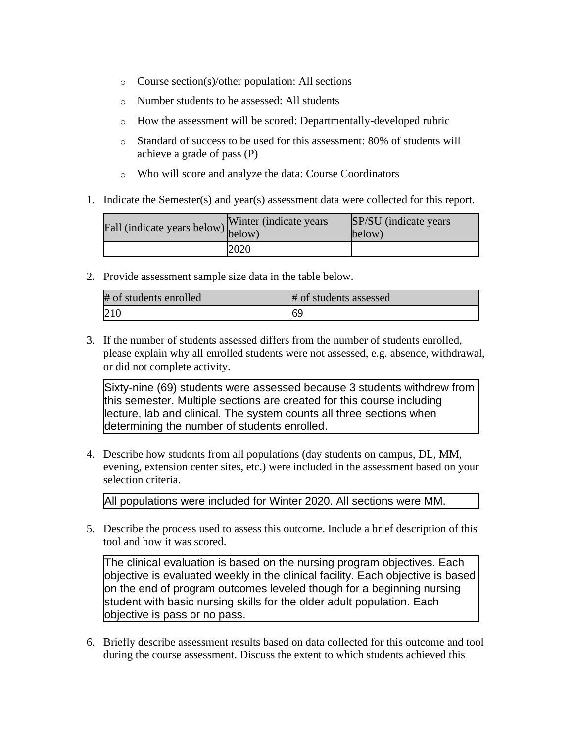- o Course section(s)/other population: All sections
- o Number students to be assessed: All students
- o How the assessment will be scored: Departmentally-developed rubric
- o Standard of success to be used for this assessment: 80% of students will achieve a grade of pass (P)
- o Who will score and analyze the data: Course Coordinators
- 1. Indicate the Semester(s) and year(s) assessment data were collected for this report.

| Fall (indicate years below) below) | Winter (indicate years) | SP/SU (indicate years)<br>below) |
|------------------------------------|-------------------------|----------------------------------|
|                                    | 2020                    |                                  |

| # of students enrolled | # of students assessed |
|------------------------|------------------------|
| 210                    | 69                     |

3. If the number of students assessed differs from the number of students enrolled, please explain why all enrolled students were not assessed, e.g. absence, withdrawal, or did not complete activity.

Sixty-nine (69) students were assessed because 3 students withdrew from this semester. Multiple sections are created for this course including lecture, lab and clinical. The system counts all three sections when determining the number of students enrolled.

4. Describe how students from all populations (day students on campus, DL, MM, evening, extension center sites, etc.) were included in the assessment based on your selection criteria.

All populations were included for Winter 2020. All sections were MM.

5. Describe the process used to assess this outcome. Include a brief description of this tool and how it was scored.

The clinical evaluation is based on the nursing program objectives. Each objective is evaluated weekly in the clinical facility. Each objective is based on the end of program outcomes leveled though for a beginning nursing student with basic nursing skills for the older adult population. Each objective is pass or no pass.

6. Briefly describe assessment results based on data collected for this outcome and tool during the course assessment. Discuss the extent to which students achieved this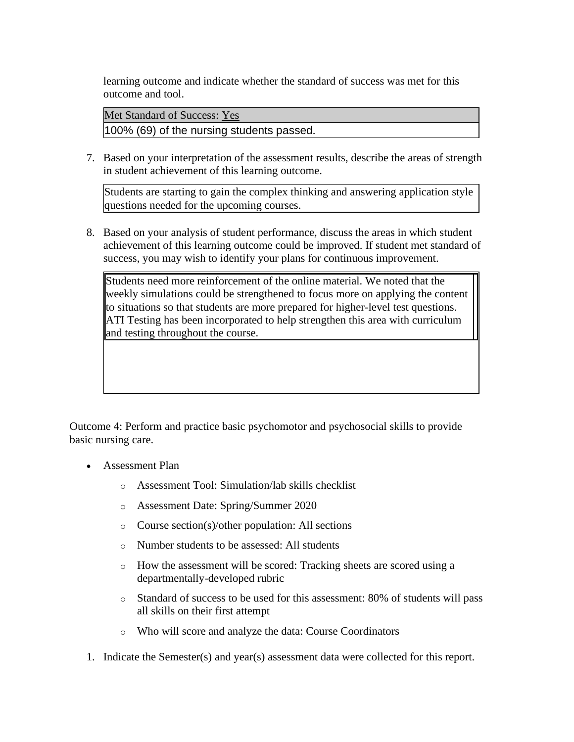learning outcome and indicate whether the standard of success was met for this outcome and tool.

Met Standard of Success: Yes 100% (69) of the nursing students passed.

7. Based on your interpretation of the assessment results, describe the areas of strength in student achievement of this learning outcome.

Students are starting to gain the complex thinking and answering application style questions needed for the upcoming courses.

8. Based on your analysis of student performance, discuss the areas in which student achievement of this learning outcome could be improved. If student met standard of success, you may wish to identify your plans for continuous improvement.

Students need more reinforcement of the online material. We noted that the weekly simulations could be strengthened to focus more on applying the content to situations so that students are more prepared for higher-level test questions. ATI Testing has been incorporated to help strengthen this area with curriculum and testing throughout the course.

Outcome 4: Perform and practice basic psychomotor and psychosocial skills to provide basic nursing care.

- Assessment Plan
	- o Assessment Tool: Simulation/lab skills checklist
	- o Assessment Date: Spring/Summer 2020
	- o Course section(s)/other population: All sections
	- o Number students to be assessed: All students
	- o How the assessment will be scored: Tracking sheets are scored using a departmentally-developed rubric
	- o Standard of success to be used for this assessment: 80% of students will pass all skills on their first attempt
	- o Who will score and analyze the data: Course Coordinators
- 1. Indicate the Semester(s) and year(s) assessment data were collected for this report.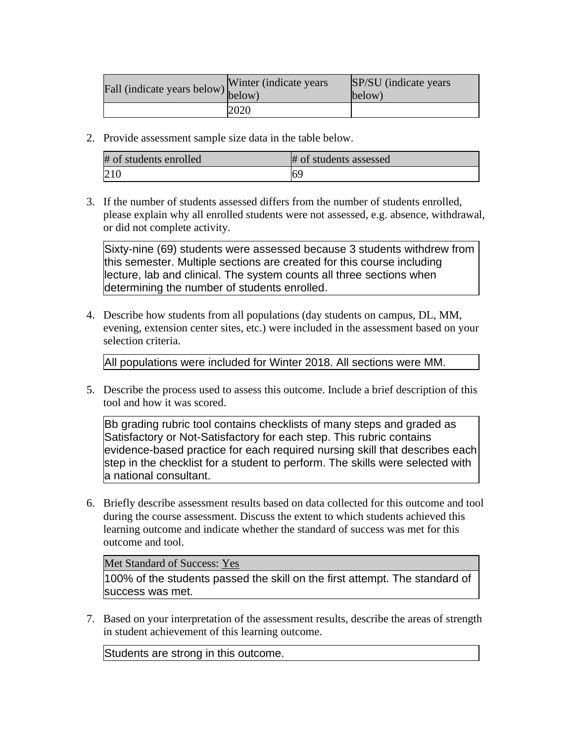| Fall (indicate years below) below) | Winter (indicate years) | SP/SU (indicate years)<br>below) |
|------------------------------------|-------------------------|----------------------------------|
|                                    | 2020                    |                                  |

| # of students enrolled | # of students assessed |
|------------------------|------------------------|
| 210                    | 69                     |

3. If the number of students assessed differs from the number of students enrolled, please explain why all enrolled students were not assessed, e.g. absence, withdrawal, or did not complete activity.

Sixty-nine (69) students were assessed because 3 students withdrew from this semester. Multiple sections are created for this course including lecture, lab and clinical. The system counts all three sections when determining the number of students enrolled.

4. Describe how students from all populations (day students on campus, DL, MM, evening, extension center sites, etc.) were included in the assessment based on your selection criteria.

All populations were included for Winter 2018. All sections were MM.

5. Describe the process used to assess this outcome. Include a brief description of this tool and how it was scored.

Bb grading rubric tool contains checklists of many steps and graded as Satisfactory or Not-Satisfactory for each step. This rubric contains evidence-based practice for each required nursing skill that describes each step in the checklist for a student to perform. The skills were selected with a national consultant.

6. Briefly describe assessment results based on data collected for this outcome and tool during the course assessment. Discuss the extent to which students achieved this learning outcome and indicate whether the standard of success was met for this outcome and tool.

Met Standard of Success: Yes

100% of the students passed the skill on the first attempt. The standard of success was met.

7. Based on your interpretation of the assessment results, describe the areas of strength in student achievement of this learning outcome.

Students are strong in this outcome.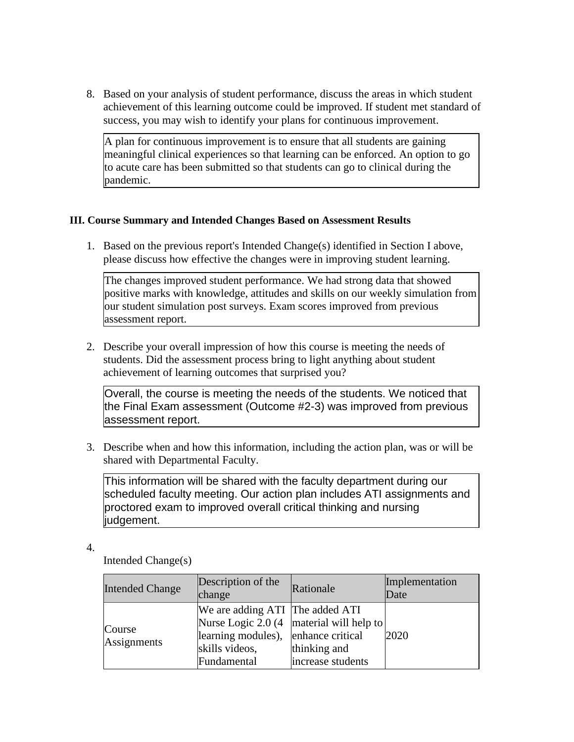8. Based on your analysis of student performance, discuss the areas in which student achievement of this learning outcome could be improved. If student met standard of success, you may wish to identify your plans for continuous improvement.

A plan for continuous improvement is to ensure that all students are gaining meaningful clinical experiences so that learning can be enforced. An option to go to acute care has been submitted so that students can go to clinical during the pandemic.

### **III. Course Summary and Intended Changes Based on Assessment Results**

1. Based on the previous report's Intended Change(s) identified in Section I above, please discuss how effective the changes were in improving student learning.

The changes improved student performance. We had strong data that showed positive marks with knowledge, attitudes and skills on our weekly simulation from our student simulation post surveys. Exam scores improved from previous assessment report.

2. Describe your overall impression of how this course is meeting the needs of students. Did the assessment process bring to light anything about student achievement of learning outcomes that surprised you?

Overall, the course is meeting the needs of the students. We noticed that the Final Exam assessment (Outcome #2-3) was improved from previous assessment report.

3. Describe when and how this information, including the action plan, was or will be shared with Departmental Faculty.

This information will be shared with the faculty department during our scheduled faculty meeting. Our action plan includes ATI assignments and proctored exam to improved overall critical thinking and nursing judgement.

4.

Intended Change(s)

| <b>Intended Change</b> | Description of the<br>change                                                                            | Rationale                                                                                | Implementation<br>Date |
|------------------------|---------------------------------------------------------------------------------------------------------|------------------------------------------------------------------------------------------|------------------------|
| Course<br>Assignments  | We are adding ATI The added ATI<br>learning modules), enhance critical<br>skills videos,<br>Fundamental | Nurse Logic 2.0 $(4 \text{ material will help to})$<br>thinking and<br>increase students | 2020                   |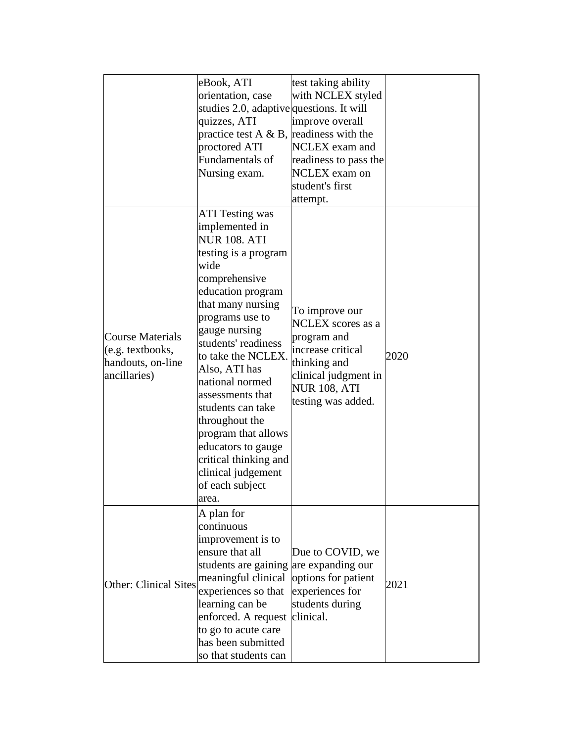|                                                                                  | eBook, ATI<br>orientation, case<br>studies 2.0, adaptive questions. It will<br>quizzes, ATI<br>practice test A $\&$ B, readiness with the<br>proctored ATI<br>Fundamentals of<br>Nursing exam.                                                                                                                                                                                                                                                                     | test taking ability<br>with NCLEX styled<br>improve overall<br><b>NCLEX</b> exam and<br>readiness to pass the<br><b>NCLEX</b> exam on<br>student's first<br>attempt. |      |
|----------------------------------------------------------------------------------|--------------------------------------------------------------------------------------------------------------------------------------------------------------------------------------------------------------------------------------------------------------------------------------------------------------------------------------------------------------------------------------------------------------------------------------------------------------------|----------------------------------------------------------------------------------------------------------------------------------------------------------------------|------|
| <b>Course Materials</b><br>(e.g. textbooks,<br>handouts, on-line<br>ancillaries) | <b>ATI Testing was</b><br>implemented in<br><b>NUR 108. ATI</b><br>testing is a program<br>wide<br>comprehensive<br>education program<br>that many nursing<br>programs use to<br>gauge nursing<br>students' readiness<br>to take the NCLEX.<br>Also, ATI has<br>national normed<br>assessments that<br>students can take<br>throughout the<br>program that allows<br>educators to gauge<br>critical thinking and<br>clinical judgement<br>of each subject<br>area. | To improve our<br>NCLEX scores as a<br>program and<br>increase critical<br>thinking and<br>clinical judgment in<br><b>NUR 108, ATI</b><br>testing was added.         | 2020 |
| <b>Other: Clinical Sites</b>                                                     | A plan for<br>continuous<br>improvement is to<br>ensure that all<br>students are gaining are expanding our<br>meaningful clinical<br>experiences so that<br>learning can be<br>enforced. A request clinical.<br>to go to acute care<br>has been submitted<br>so that students can                                                                                                                                                                                  | Due to COVID, we<br>options for patient<br>experiences for<br>students during                                                                                        | 2021 |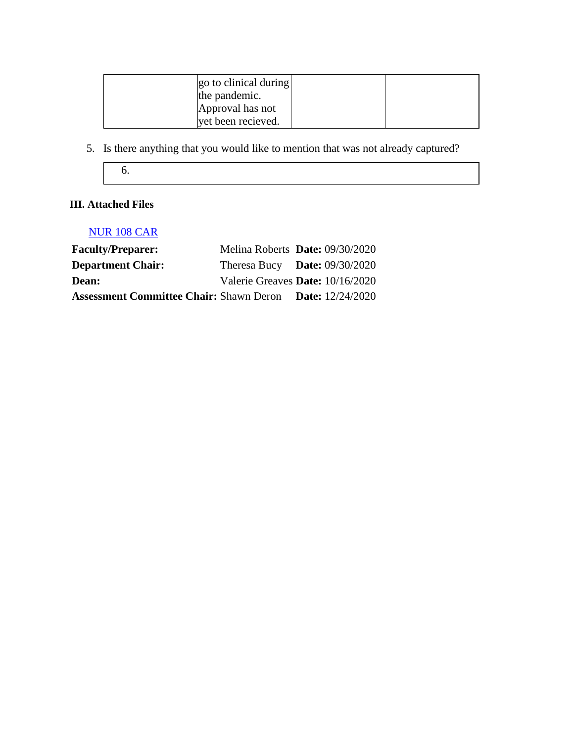| go to clinical during<br>the pandemic. |  |
|----------------------------------------|--|
| Approval has not                       |  |
| yet been recieved.                     |  |

- 5. Is there anything that you would like to mention that was not already captured?
	- 6.

# **III. Attached Files**

## [NUR 108 CAR](documents/CAR%20NUR%20108.docx)

| <b>Faculty/Preparer:</b>                       | Melina Roberts Date: 09/30/2020  |                           |
|------------------------------------------------|----------------------------------|---------------------------|
| <b>Department Chair:</b>                       | Theresa Bucy Date: $09/30/2020$  |                           |
| Dean:                                          | Valerie Greaves Date: 10/16/2020 |                           |
| <b>Assessment Committee Chair: Shawn Deron</b> |                                  | <b>Date:</b> $12/24/2020$ |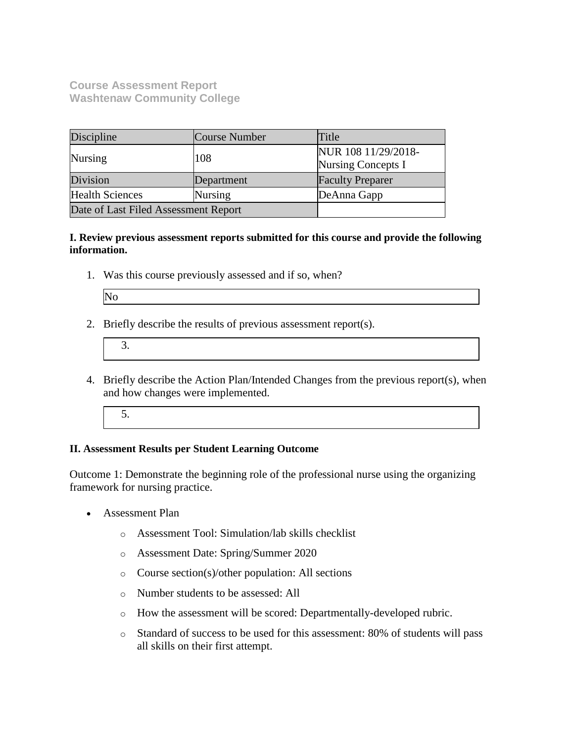**Course Assessment Report Washtenaw Community College**

| Discipline                           | Course Number | Title                                            |
|--------------------------------------|---------------|--------------------------------------------------|
| Nursing                              | 108           | NUR 108 11/29/2018-<br><b>Nursing Concepts I</b> |
| Division                             | Department    | <b>Faculty Preparer</b>                          |
| <b>Health Sciences</b>               | Nursing       | DeAnna Gapp                                      |
| Date of Last Filed Assessment Report |               |                                                  |

**I. Review previous assessment reports submitted for this course and provide the following information.**

1. Was this course previously assessed and if so, when?

| ٠<br>۰.<br>۰. |  |
|---------------|--|
|---------------|--|

2. Briefly describe the results of previous assessment report(s).

- 4. Briefly describe the Action Plan/Intended Changes from the previous report(s), when and how changes were implemented.
	- 5.

#### **II. Assessment Results per Student Learning Outcome**

Outcome 1: Demonstrate the beginning role of the professional nurse using the organizing framework for nursing practice.

- Assessment Plan
	- o Assessment Tool: Simulation/lab skills checklist
	- o Assessment Date: Spring/Summer 2020
	- o Course section(s)/other population: All sections
	- o Number students to be assessed: All
	- o How the assessment will be scored: Departmentally-developed rubric.
	- o Standard of success to be used for this assessment: 80% of students will pass all skills on their first attempt.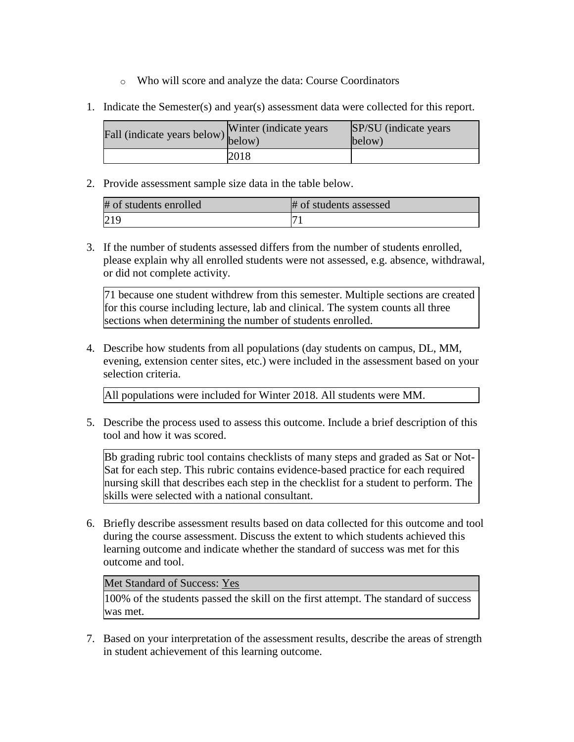- o Who will score and analyze the data: Course Coordinators
- 1. Indicate the Semester(s) and year(s) assessment data were collected for this report.

| Fall (indicate years below) $\begin{bmatrix} w \text{ finite} \\ below \end{bmatrix}$ | Winter (indicate years) | SP/SU (indicate years)<br>below) |
|---------------------------------------------------------------------------------------|-------------------------|----------------------------------|
|                                                                                       | 2018                    |                                  |

| # of students enrolled | # of students assessed |
|------------------------|------------------------|
| 219                    | −                      |

3. If the number of students assessed differs from the number of students enrolled, please explain why all enrolled students were not assessed, e.g. absence, withdrawal, or did not complete activity.

71 because one student withdrew from this semester. Multiple sections are created for this course including lecture, lab and clinical. The system counts all three sections when determining the number of students enrolled.

4. Describe how students from all populations (day students on campus, DL, MM, evening, extension center sites, etc.) were included in the assessment based on your selection criteria.

All populations were included for Winter 2018. All students were MM.

5. Describe the process used to assess this outcome. Include a brief description of this tool and how it was scored.

Bb grading rubric tool contains checklists of many steps and graded as Sat or Not-Sat for each step. This rubric contains evidence-based practice for each required nursing skill that describes each step in the checklist for a student to perform. The skills were selected with a national consultant.

6. Briefly describe assessment results based on data collected for this outcome and tool during the course assessment. Discuss the extent to which students achieved this learning outcome and indicate whether the standard of success was met for this outcome and tool.

#### Met Standard of Success: Yes

100% of the students passed the skill on the first attempt. The standard of success was met.

7. Based on your interpretation of the assessment results, describe the areas of strength in student achievement of this learning outcome.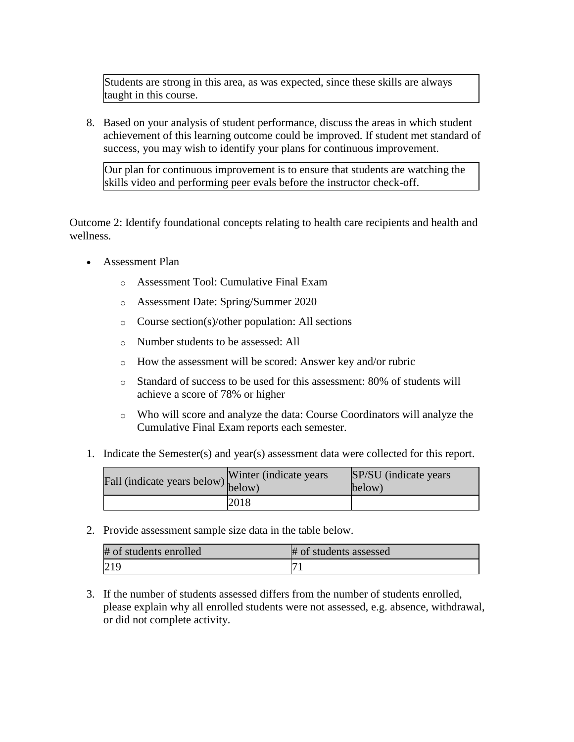Students are strong in this area, as was expected, since these skills are always taught in this course.

8. Based on your analysis of student performance, discuss the areas in which student achievement of this learning outcome could be improved. If student met standard of success, you may wish to identify your plans for continuous improvement.

Our plan for continuous improvement is to ensure that students are watching the skills video and performing peer evals before the instructor check-off.

Outcome 2: Identify foundational concepts relating to health care recipients and health and wellness.

- Assessment Plan
	- o Assessment Tool: Cumulative Final Exam
	- o Assessment Date: Spring/Summer 2020
	- o Course section(s)/other population: All sections
	- o Number students to be assessed: All
	- o How the assessment will be scored: Answer key and/or rubric
	- o Standard of success to be used for this assessment: 80% of students will achieve a score of 78% or higher
	- o Who will score and analyze the data: Course Coordinators will analyze the Cumulative Final Exam reports each semester.
- 1. Indicate the Semester(s) and year(s) assessment data were collected for this report.

| Fall (indicate years below) below) | Winter (indicate years) | SP/SU (indicate years)<br>below) |
|------------------------------------|-------------------------|----------------------------------|
|                                    | 2018                    |                                  |

2. Provide assessment sample size data in the table below.

| # of students enrolled | # of students assessed |
|------------------------|------------------------|
|                        |                        |

3. If the number of students assessed differs from the number of students enrolled, please explain why all enrolled students were not assessed, e.g. absence, withdrawal, or did not complete activity.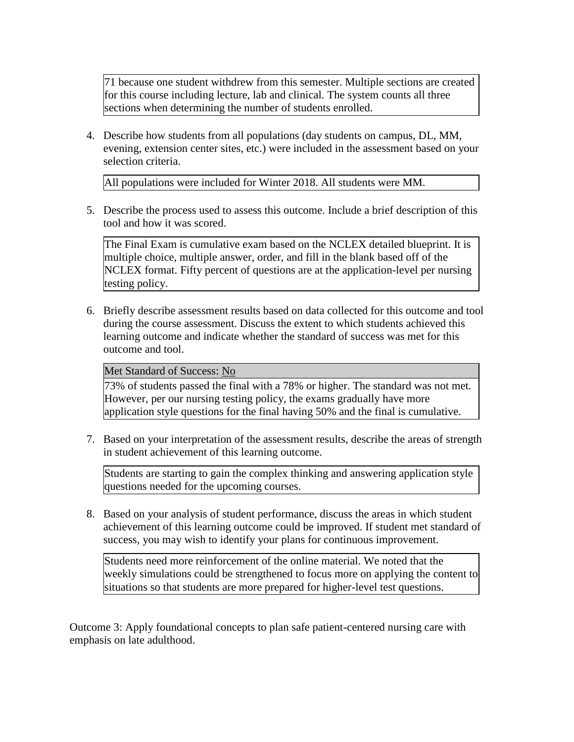71 because one student withdrew from this semester. Multiple sections are created for this course including lecture, lab and clinical. The system counts all three sections when determining the number of students enrolled.

4. Describe how students from all populations (day students on campus, DL, MM, evening, extension center sites, etc.) were included in the assessment based on your selection criteria.

All populations were included for Winter 2018. All students were MM.

5. Describe the process used to assess this outcome. Include a brief description of this tool and how it was scored.

The Final Exam is cumulative exam based on the NCLEX detailed blueprint. It is multiple choice, multiple answer, order, and fill in the blank based off of the NCLEX format. Fifty percent of questions are at the application-level per nursing testing policy.

6. Briefly describe assessment results based on data collected for this outcome and tool during the course assessment. Discuss the extent to which students achieved this learning outcome and indicate whether the standard of success was met for this outcome and tool.

#### Met Standard of Success: No

73% of students passed the final with a 78% or higher. The standard was not met. However, per our nursing testing policy, the exams gradually have more application style questions for the final having 50% and the final is cumulative.

7. Based on your interpretation of the assessment results, describe the areas of strength in student achievement of this learning outcome.

Students are starting to gain the complex thinking and answering application style questions needed for the upcoming courses.

8. Based on your analysis of student performance, discuss the areas in which student achievement of this learning outcome could be improved. If student met standard of success, you may wish to identify your plans for continuous improvement.

Students need more reinforcement of the online material. We noted that the weekly simulations could be strengthened to focus more on applying the content to situations so that students are more prepared for higher-level test questions.

Outcome 3: Apply foundational concepts to plan safe patient-centered nursing care with emphasis on late adulthood.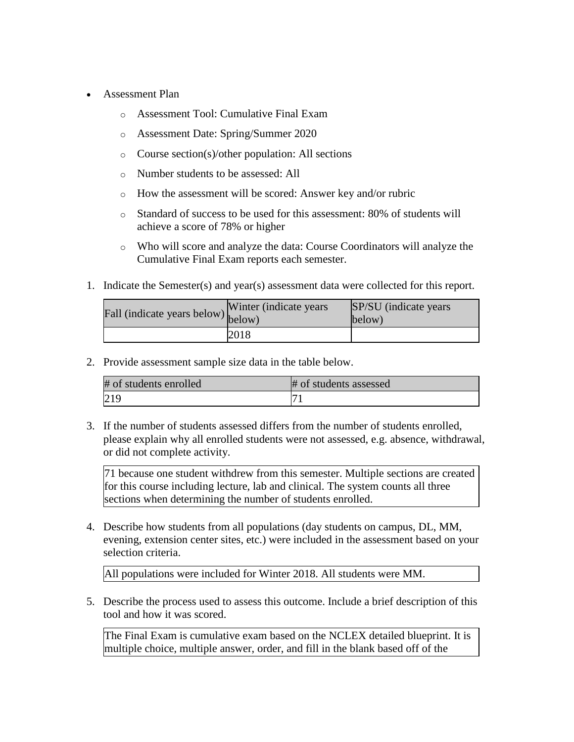- Assessment Plan
	- o Assessment Tool: Cumulative Final Exam
	- o Assessment Date: Spring/Summer 2020
	- o Course section(s)/other population: All sections
	- o Number students to be assessed: All
	- o How the assessment will be scored: Answer key and/or rubric
	- o Standard of success to be used for this assessment: 80% of students will achieve a score of 78% or higher
	- o Who will score and analyze the data: Course Coordinators will analyze the Cumulative Final Exam reports each semester.
- 1. Indicate the Semester(s) and year(s) assessment data were collected for this report.

| Fall (indicate years below) below) | Winter (indicate years) | SP/SU (indicate years)<br>$\text{below}$ |
|------------------------------------|-------------------------|------------------------------------------|
|                                    | 2018                    |                                          |

| # of students enrolled | # of students assessed |
|------------------------|------------------------|
| 219                    |                        |

3. If the number of students assessed differs from the number of students enrolled, please explain why all enrolled students were not assessed, e.g. absence, withdrawal, or did not complete activity.

71 because one student withdrew from this semester. Multiple sections are created for this course including lecture, lab and clinical. The system counts all three sections when determining the number of students enrolled.

4. Describe how students from all populations (day students on campus, DL, MM, evening, extension center sites, etc.) were included in the assessment based on your selection criteria.

All populations were included for Winter 2018. All students were MM.

5. Describe the process used to assess this outcome. Include a brief description of this tool and how it was scored.

The Final Exam is cumulative exam based on the NCLEX detailed blueprint. It is multiple choice, multiple answer, order, and fill in the blank based off of the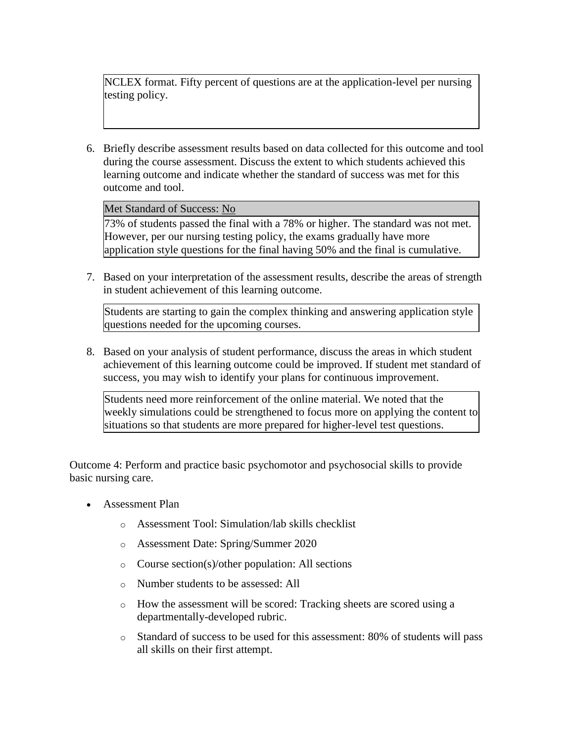NCLEX format. Fifty percent of questions are at the application-level per nursing testing policy.

6. Briefly describe assessment results based on data collected for this outcome and tool during the course assessment. Discuss the extent to which students achieved this learning outcome and indicate whether the standard of success was met for this outcome and tool.

Met Standard of Success: No

73% of students passed the final with a 78% or higher. The standard was not met. However, per our nursing testing policy, the exams gradually have more application style questions for the final having 50% and the final is cumulative.

7. Based on your interpretation of the assessment results, describe the areas of strength in student achievement of this learning outcome.

Students are starting to gain the complex thinking and answering application style questions needed for the upcoming courses.

8. Based on your analysis of student performance, discuss the areas in which student achievement of this learning outcome could be improved. If student met standard of success, you may wish to identify your plans for continuous improvement.

Students need more reinforcement of the online material. We noted that the weekly simulations could be strengthened to focus more on applying the content to situations so that students are more prepared for higher-level test questions.

Outcome 4: Perform and practice basic psychomotor and psychosocial skills to provide basic nursing care.

- Assessment Plan
	- o Assessment Tool: Simulation/lab skills checklist
	- o Assessment Date: Spring/Summer 2020
	- o Course section(s)/other population: All sections
	- o Number students to be assessed: All
	- o How the assessment will be scored: Tracking sheets are scored using a departmentally-developed rubric.
	- o Standard of success to be used for this assessment: 80% of students will pass all skills on their first attempt.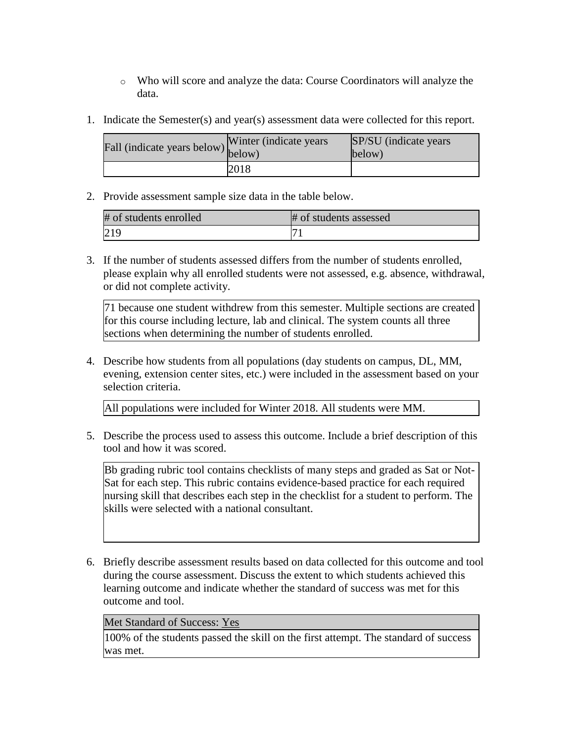- o Who will score and analyze the data: Course Coordinators will analyze the data.
- 1. Indicate the Semester(s) and year(s) assessment data were collected for this report.

| Fall (indicate years below) $\begin{bmatrix}$ while | Winter (indicate years) | SP/SU (indicate years)<br>below) |
|-----------------------------------------------------|-------------------------|----------------------------------|
|                                                     | 2018                    |                                  |

| # of students enrolled | # of students assessed |
|------------------------|------------------------|
| 219                    |                        |

3. If the number of students assessed differs from the number of students enrolled, please explain why all enrolled students were not assessed, e.g. absence, withdrawal, or did not complete activity.

71 because one student withdrew from this semester. Multiple sections are created for this course including lecture, lab and clinical. The system counts all three sections when determining the number of students enrolled.

4. Describe how students from all populations (day students on campus, DL, MM, evening, extension center sites, etc.) were included in the assessment based on your selection criteria.

All populations were included for Winter 2018. All students were MM.

5. Describe the process used to assess this outcome. Include a brief description of this tool and how it was scored.

Bb grading rubric tool contains checklists of many steps and graded as Sat or Not-Sat for each step. This rubric contains evidence-based practice for each required nursing skill that describes each step in the checklist for a student to perform. The skills were selected with a national consultant.

6. Briefly describe assessment results based on data collected for this outcome and tool during the course assessment. Discuss the extent to which students achieved this learning outcome and indicate whether the standard of success was met for this outcome and tool.

### Met Standard of Success: Yes

100% of the students passed the skill on the first attempt. The standard of success was met.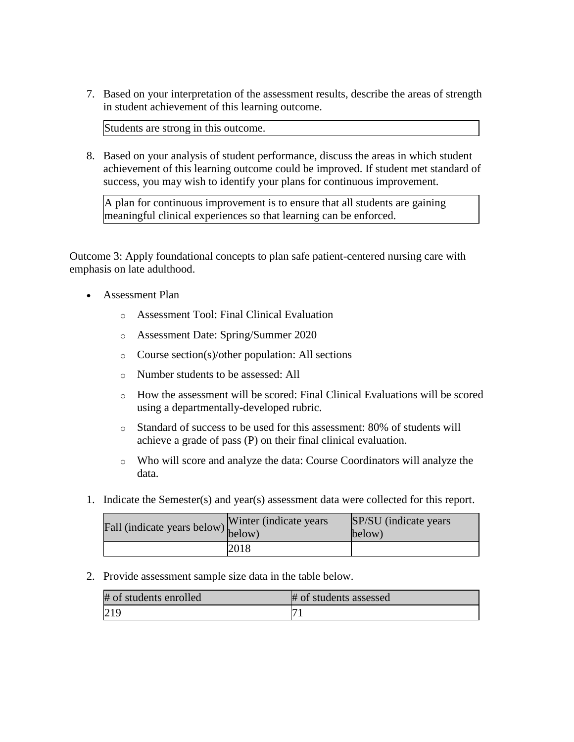7. Based on your interpretation of the assessment results, describe the areas of strength in student achievement of this learning outcome.

Students are strong in this outcome.

8. Based on your analysis of student performance, discuss the areas in which student achievement of this learning outcome could be improved. If student met standard of success, you may wish to identify your plans for continuous improvement.

A plan for continuous improvement is to ensure that all students are gaining meaningful clinical experiences so that learning can be enforced.

Outcome 3: Apply foundational concepts to plan safe patient-centered nursing care with emphasis on late adulthood.

- Assessment Plan
	- o Assessment Tool: Final Clinical Evaluation
	- o Assessment Date: Spring/Summer 2020
	- o Course section(s)/other population: All sections
	- o Number students to be assessed: All
	- o How the assessment will be scored: Final Clinical Evaluations will be scored using a departmentally-developed rubric.
	- o Standard of success to be used for this assessment: 80% of students will achieve a grade of pass (P) on their final clinical evaluation.
	- o Who will score and analyze the data: Course Coordinators will analyze the data.
- 1. Indicate the Semester(s) and year(s) assessment data were collected for this report.

| Fall (indicate years below) below) | Winter (indicate years) | SP/SU (indicate years)<br>below) |
|------------------------------------|-------------------------|----------------------------------|
|                                    | 2018                    |                                  |

2. Provide assessment sample size data in the table below.

| # of students enrolled | # of students assessed |
|------------------------|------------------------|
| 219                    |                        |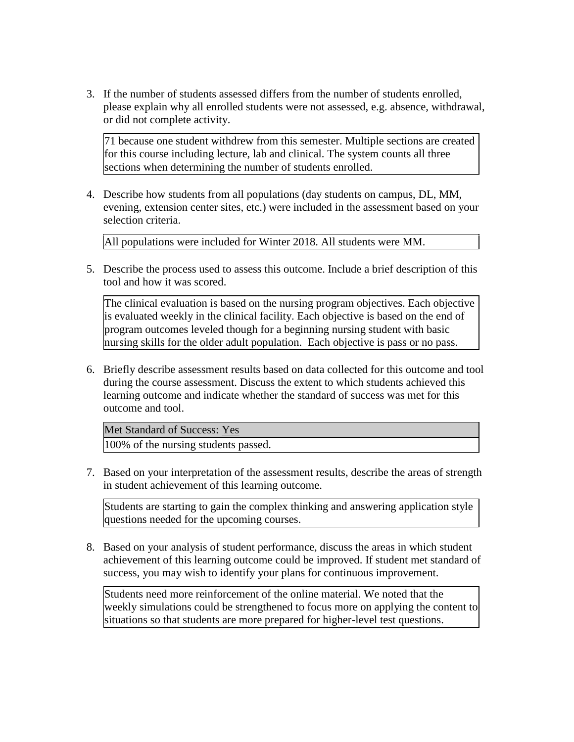3. If the number of students assessed differs from the number of students enrolled, please explain why all enrolled students were not assessed, e.g. absence, withdrawal, or did not complete activity.

71 because one student withdrew from this semester. Multiple sections are created for this course including lecture, lab and clinical. The system counts all three sections when determining the number of students enrolled.

4. Describe how students from all populations (day students on campus, DL, MM, evening, extension center sites, etc.) were included in the assessment based on your selection criteria.

All populations were included for Winter 2018. All students were MM.

5. Describe the process used to assess this outcome. Include a brief description of this tool and how it was scored.

The clinical evaluation is based on the nursing program objectives. Each objective is evaluated weekly in the clinical facility. Each objective is based on the end of program outcomes leveled though for a beginning nursing student with basic nursing skills for the older adult population. Each objective is pass or no pass.

6. Briefly describe assessment results based on data collected for this outcome and tool during the course assessment. Discuss the extent to which students achieved this learning outcome and indicate whether the standard of success was met for this outcome and tool.

Met Standard of Success: Yes 100% of the nursing students passed.

7. Based on your interpretation of the assessment results, describe the areas of strength in student achievement of this learning outcome.

Students are starting to gain the complex thinking and answering application style questions needed for the upcoming courses.

8. Based on your analysis of student performance, discuss the areas in which student achievement of this learning outcome could be improved. If student met standard of success, you may wish to identify your plans for continuous improvement.

Students need more reinforcement of the online material. We noted that the weekly simulations could be strengthened to focus more on applying the content to situations so that students are more prepared for higher-level test questions.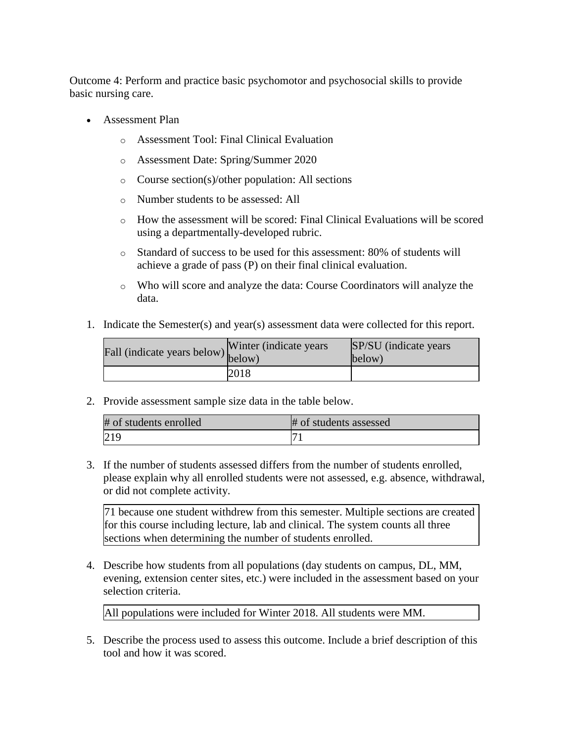Outcome 4: Perform and practice basic psychomotor and psychosocial skills to provide basic nursing care.

- Assessment Plan
	- o Assessment Tool: Final Clinical Evaluation
	- o Assessment Date: Spring/Summer 2020
	- o Course section(s)/other population: All sections
	- o Number students to be assessed: All
	- o How the assessment will be scored: Final Clinical Evaluations will be scored using a departmentally-developed rubric.
	- o Standard of success to be used for this assessment: 80% of students will achieve a grade of pass (P) on their final clinical evaluation.
	- o Who will score and analyze the data: Course Coordinators will analyze the data.
- 1. Indicate the Semester(s) and year(s) assessment data were collected for this report.

| Fall (indicate years below) $\begin{bmatrix} 0 \\ \text{below} \end{bmatrix}$ | Winter (indicate years) | SP/SU (indicate years)<br>below) |
|-------------------------------------------------------------------------------|-------------------------|----------------------------------|
|                                                                               | 2018                    |                                  |

2. Provide assessment sample size data in the table below.

| # of students enrolled | # of students assessed |
|------------------------|------------------------|
| 219                    |                        |

3. If the number of students assessed differs from the number of students enrolled, please explain why all enrolled students were not assessed, e.g. absence, withdrawal, or did not complete activity.

71 because one student withdrew from this semester. Multiple sections are created for this course including lecture, lab and clinical. The system counts all three sections when determining the number of students enrolled.

4. Describe how students from all populations (day students on campus, DL, MM, evening, extension center sites, etc.) were included in the assessment based on your selection criteria.

All populations were included for Winter 2018. All students were MM.

5. Describe the process used to assess this outcome. Include a brief description of this tool and how it was scored.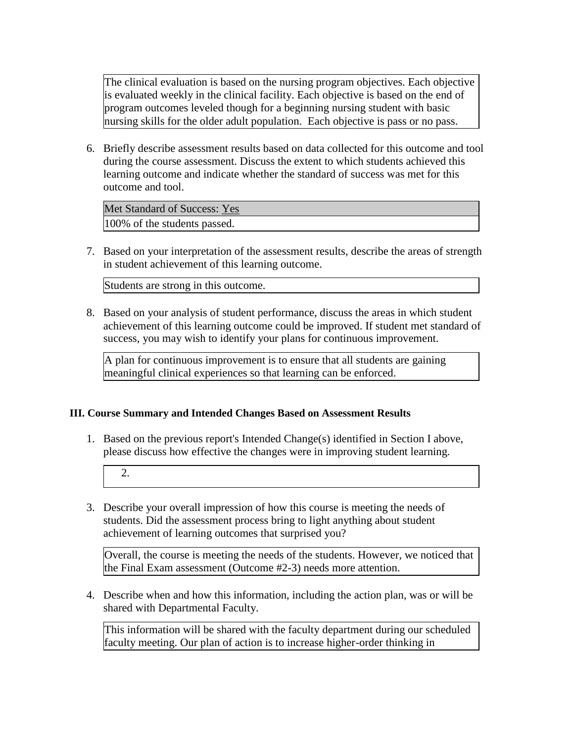The clinical evaluation is based on the nursing program objectives. Each objective is evaluated weekly in the clinical facility. Each objective is based on the end of program outcomes leveled though for a beginning nursing student with basic nursing skills for the older adult population. Each objective is pass or no pass.

6. Briefly describe assessment results based on data collected for this outcome and tool during the course assessment. Discuss the extent to which students achieved this learning outcome and indicate whether the standard of success was met for this outcome and tool.

Met Standard of Success: Yes 100% of the students passed.

7. Based on your interpretation of the assessment results, describe the areas of strength in student achievement of this learning outcome.

Students are strong in this outcome.

8. Based on your analysis of student performance, discuss the areas in which student achievement of this learning outcome could be improved. If student met standard of success, you may wish to identify your plans for continuous improvement.

A plan for continuous improvement is to ensure that all students are gaining meaningful clinical experiences so that learning can be enforced.

### **III. Course Summary and Intended Changes Based on Assessment Results**

- 1. Based on the previous report's Intended Change(s) identified in Section I above, please discuss how effective the changes were in improving student learning.
	- 2.
- 3. Describe your overall impression of how this course is meeting the needs of students. Did the assessment process bring to light anything about student achievement of learning outcomes that surprised you?

Overall, the course is meeting the needs of the students. However, we noticed that the Final Exam assessment (Outcome #2-3) needs more attention.

4. Describe when and how this information, including the action plan, was or will be shared with Departmental Faculty.

This information will be shared with the faculty department during our scheduled faculty meeting. Our plan of action is to increase higher-order thinking in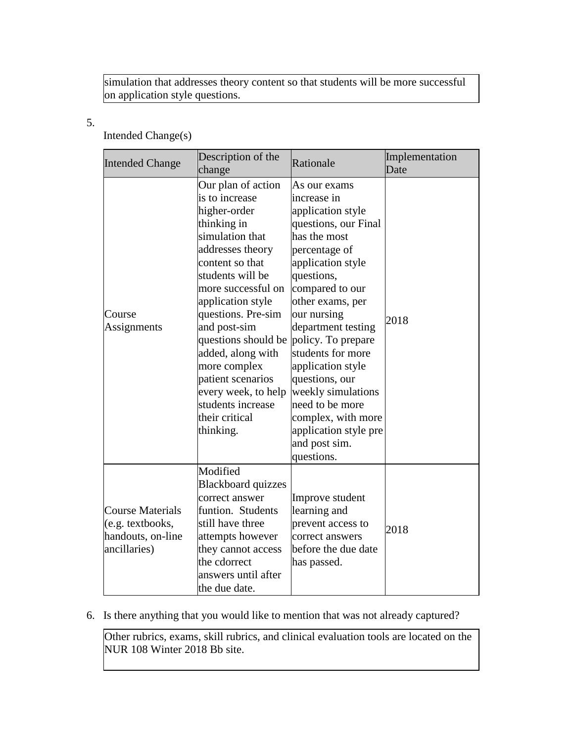simulation that addresses theory content so that students will be more successful on application style questions.

### 5.

# Intended Change(s)

| <b>Intended Change</b>                                                           | Description of the<br>change                                                                                                                                                                                                                                                                                                                                                                   | Rationale                                                                                                                                                                                                                                                                                                                                                                                                                         | Implementation<br>Date |
|----------------------------------------------------------------------------------|------------------------------------------------------------------------------------------------------------------------------------------------------------------------------------------------------------------------------------------------------------------------------------------------------------------------------------------------------------------------------------------------|-----------------------------------------------------------------------------------------------------------------------------------------------------------------------------------------------------------------------------------------------------------------------------------------------------------------------------------------------------------------------------------------------------------------------------------|------------------------|
| Course<br>Assignments                                                            | Our plan of action<br>is to increase<br>higher-order<br>thinking in<br>simulation that<br>addresses theory<br>content so that<br>students will be<br>more successful on<br>application style<br>questions. Pre-sim<br>and post-sim<br>questions should be<br>added, along with<br>more complex<br>patient scenarios<br>every week, to help<br>students increase<br>their critical<br>thinking. | As our exams<br>increase in<br>application style<br>questions, our Final<br>has the most<br>percentage of<br>application style<br>questions,<br>compared to our<br>other exams, per<br>our nursing<br>department testing<br>policy. To prepare<br>students for more<br>application style<br>questions, our<br>weekly simulations<br>need to be more<br>complex, with more<br>application style pre<br>and post sim.<br>questions. | 2018                   |
| <b>Course Materials</b><br>(e.g. textbooks,<br>handouts, on-line<br>ancillaries) | Modified<br><b>Blackboard quizzes</b><br>correct answer<br>funtion. Students<br>still have three<br>attempts however<br>they cannot access<br>the cdorrect<br>answers until after<br>the due date.                                                                                                                                                                                             | Improve student<br>learning and<br>prevent access to<br>correct answers<br>before the due date<br>has passed.                                                                                                                                                                                                                                                                                                                     | 2018                   |

# 6. Is there anything that you would like to mention that was not already captured?

Other rubrics, exams, skill rubrics, and clinical evaluation tools are located on the NUR 108 Winter 2018 Bb site.